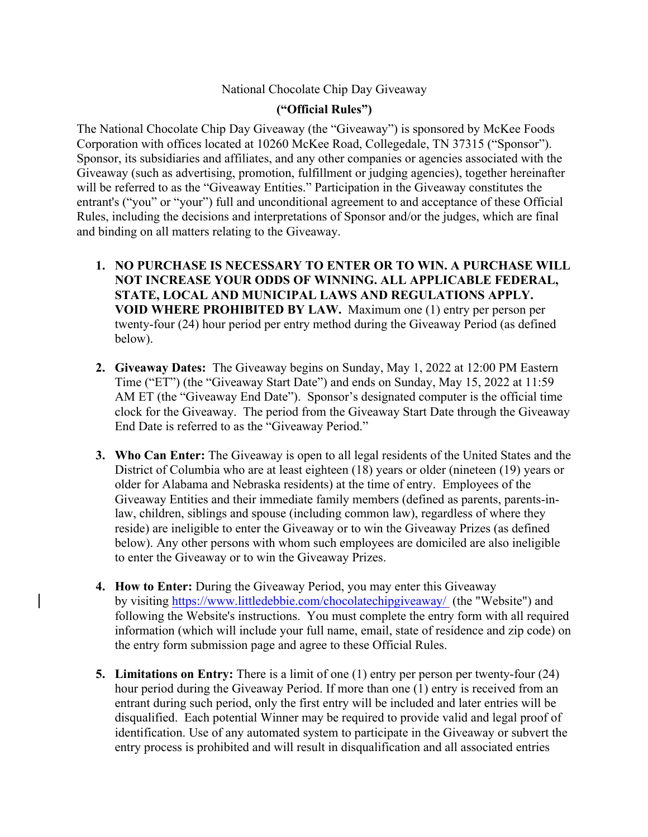## National Chocolate Chip Day Giveaway

## **("Official Rules")**

The National Chocolate Chip Day Giveaway (the "Giveaway") is sponsored by McKee Foods Corporation with offices located at 10260 McKee Road, Collegedale, TN 37315 ("Sponsor"). Sponsor, its subsidiaries and affiliates, and any other companies or agencies associated with the Giveaway (such as advertising, promotion, fulfillment or judging agencies), together hereinafter will be referred to as the "Giveaway Entities." Participation in the Giveaway constitutes the entrant's ("you" or "your") full and unconditional agreement to and acceptance of these Official Rules, including the decisions and interpretations of Sponsor and/or the judges, which are final and binding on all matters relating to the Giveaway.

- **1. NO PURCHASE IS NECESSARY TO ENTER OR TO WIN. A PURCHASE WILL NOT INCREASE YOUR ODDS OF WINNING. ALL APPLICABLE FEDERAL, STATE, LOCAL AND MUNICIPAL LAWS AND REGULATIONS APPLY. VOID WHERE PROHIBITED BY LAW.** Maximum one (1) entry per person per twenty-four (24) hour period per entry method during the Giveaway Period (as defined below).
- **2. Giveaway Dates:** The Giveaway begins on Sunday, May 1, 2022 at 12:00 PM Eastern Time ("ET") (the "Giveaway Start Date") and ends on Sunday, May 15, 2022 at 11:59 AM ET (the "Giveaway End Date"). Sponsor's designated computer is the official time clock for the Giveaway. The period from the Giveaway Start Date through the Giveaway End Date is referred to as the "Giveaway Period."
- **3. Who Can Enter:** The Giveaway is open to all legal residents of the United States and the District of Columbia who are at least eighteen (18) years or older (nineteen (19) years or older for Alabama and Nebraska residents) at the time of entry. Employees of the Giveaway Entities and their immediate family members (defined as parents, parents-inlaw, children, siblings and spouse (including common law), regardless of where they reside) are ineligible to enter the Giveaway or to win the Giveaway Prizes (as defined below). Any other persons with whom such employees are domiciled are also ineligible to enter the Giveaway or to win the Giveaway Prizes.
- **4. How to Enter:** During the Giveaway Period, you may enter this Giveaway by visiting https://www.littledebbie.com/chocolatechipgiveaway/ (the "Website") and following the Website's instructions. You must complete the entry form with all required information (which will include your full name, email, state of residence and zip code) on the entry form submission page and agree to these Official Rules.
- **5. Limitations on Entry:** There is a limit of one (1) entry per person per twenty-four (24) hour period during the Giveaway Period. If more than one (1) entry is received from an entrant during such period, only the first entry will be included and later entries will be disqualified. Each potential Winner may be required to provide valid and legal proof of identification. Use of any automated system to participate in the Giveaway or subvert the entry process is prohibited and will result in disqualification and all associated entries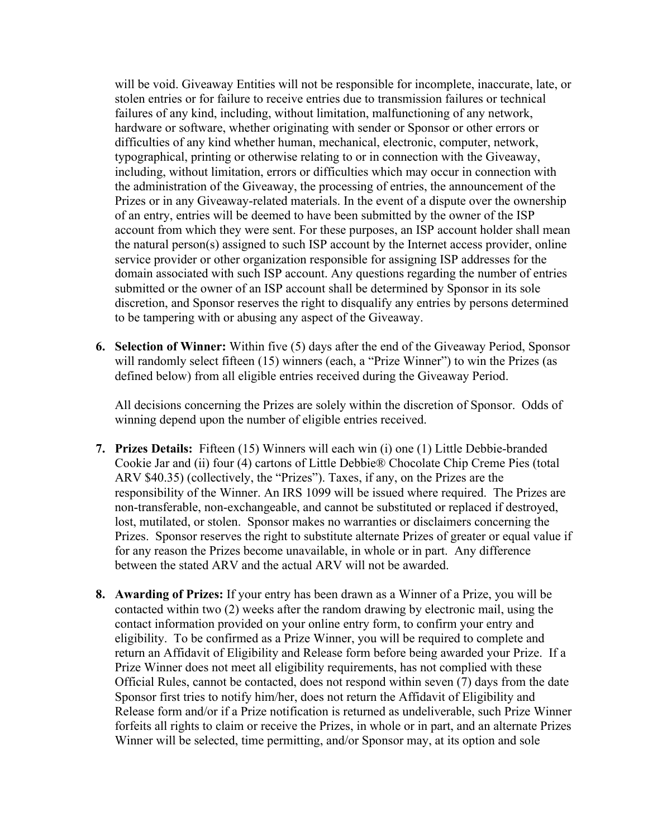will be void. Giveaway Entities will not be responsible for incomplete, inaccurate, late, or stolen entries or for failure to receive entries due to transmission failures or technical failures of any kind, including, without limitation, malfunctioning of any network, hardware or software, whether originating with sender or Sponsor or other errors or difficulties of any kind whether human, mechanical, electronic, computer, network, typographical, printing or otherwise relating to or in connection with the Giveaway, including, without limitation, errors or difficulties which may occur in connection with the administration of the Giveaway, the processing of entries, the announcement of the Prizes or in any Giveaway-related materials. In the event of a dispute over the ownership of an entry, entries will be deemed to have been submitted by the owner of the ISP account from which they were sent. For these purposes, an ISP account holder shall mean the natural person(s) assigned to such ISP account by the Internet access provider, online service provider or other organization responsible for assigning ISP addresses for the domain associated with such ISP account. Any questions regarding the number of entries submitted or the owner of an ISP account shall be determined by Sponsor in its sole discretion, and Sponsor reserves the right to disqualify any entries by persons determined to be tampering with or abusing any aspect of the Giveaway.

**6. Selection of Winner:** Within five (5) days after the end of the Giveaway Period, Sponsor will randomly select fifteen (15) winners (each, a "Prize Winner") to win the Prizes (as defined below) from all eligible entries received during the Giveaway Period.

All decisions concerning the Prizes are solely within the discretion of Sponsor. Odds of winning depend upon the number of eligible entries received.

- **7. Prizes Details:** Fifteen (15) Winners will each win (i) one (1) Little Debbie-branded Cookie Jar and (ii) four (4) cartons of Little Debbie® Chocolate Chip Creme Pies (total ARV \$40.35) (collectively, the "Prizes"). Taxes, if any, on the Prizes are the responsibility of the Winner. An IRS 1099 will be issued where required. The Prizes are non-transferable, non-exchangeable, and cannot be substituted or replaced if destroyed, lost, mutilated, or stolen. Sponsor makes no warranties or disclaimers concerning the Prizes. Sponsor reserves the right to substitute alternate Prizes of greater or equal value if for any reason the Prizes become unavailable, in whole or in part. Any difference between the stated ARV and the actual ARV will not be awarded.
- **8. Awarding of Prizes:** If your entry has been drawn as a Winner of a Prize, you will be contacted within two (2) weeks after the random drawing by electronic mail, using the contact information provided on your online entry form, to confirm your entry and eligibility. To be confirmed as a Prize Winner, you will be required to complete and return an Affidavit of Eligibility and Release form before being awarded your Prize. If a Prize Winner does not meet all eligibility requirements, has not complied with these Official Rules, cannot be contacted, does not respond within seven (7) days from the date Sponsor first tries to notify him/her, does not return the Affidavit of Eligibility and Release form and/or if a Prize notification is returned as undeliverable, such Prize Winner forfeits all rights to claim or receive the Prizes, in whole or in part, and an alternate Prizes Winner will be selected, time permitting, and/or Sponsor may, at its option and sole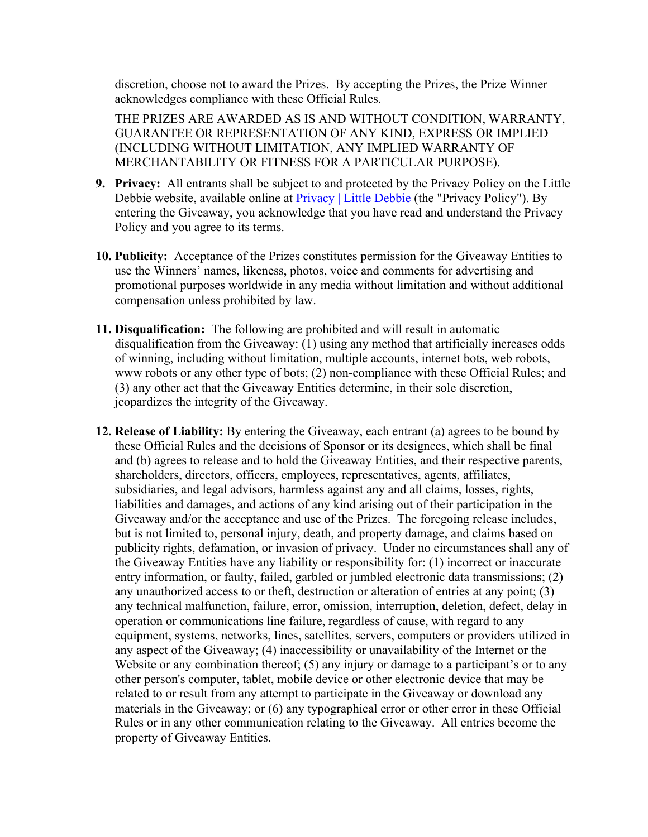discretion, choose not to award the Prizes. By accepting the Prizes, the Prize Winner acknowledges compliance with these Official Rules.

THE PRIZES ARE AWARDED AS IS AND WITHOUT CONDITION, WARRANTY, GUARANTEE OR REPRESENTATION OF ANY KIND, EXPRESS OR IMPLIED (INCLUDING WITHOUT LIMITATION, ANY IMPLIED WARRANTY OF MERCHANTABILITY OR FITNESS FOR A PARTICULAR PURPOSE).

- **9. Privacy:** All entrants shall be subject to and protected by the Privacy Policy on the Little Debbie website, available online at Privacy | Little Debbie (the "Privacy Policy"). By entering the Giveaway, you acknowledge that you have read and understand the Privacy Policy and you agree to its terms.
- **10. Publicity:** Acceptance of the Prizes constitutes permission for the Giveaway Entities to use the Winners' names, likeness, photos, voice and comments for advertising and promotional purposes worldwide in any media without limitation and without additional compensation unless prohibited by law.
- **11. Disqualification:** The following are prohibited and will result in automatic disqualification from the Giveaway: (1) using any method that artificially increases odds of winning, including without limitation, multiple accounts, internet bots, web robots, www robots or any other type of bots; (2) non-compliance with these Official Rules; and (3) any other act that the Giveaway Entities determine, in their sole discretion, jeopardizes the integrity of the Giveaway.
- **12. Release of Liability:** By entering the Giveaway, each entrant (a) agrees to be bound by these Official Rules and the decisions of Sponsor or its designees, which shall be final and (b) agrees to release and to hold the Giveaway Entities, and their respective parents, shareholders, directors, officers, employees, representatives, agents, affiliates, subsidiaries, and legal advisors, harmless against any and all claims, losses, rights, liabilities and damages, and actions of any kind arising out of their participation in the Giveaway and/or the acceptance and use of the Prizes. The foregoing release includes, but is not limited to, personal injury, death, and property damage, and claims based on publicity rights, defamation, or invasion of privacy. Under no circumstances shall any of the Giveaway Entities have any liability or responsibility for: (1) incorrect or inaccurate entry information, or faulty, failed, garbled or jumbled electronic data transmissions; (2) any unauthorized access to or theft, destruction or alteration of entries at any point; (3) any technical malfunction, failure, error, omission, interruption, deletion, defect, delay in operation or communications line failure, regardless of cause, with regard to any equipment, systems, networks, lines, satellites, servers, computers or providers utilized in any aspect of the Giveaway; (4) inaccessibility or unavailability of the Internet or the Website or any combination thereof; (5) any injury or damage to a participant's or to any other person's computer, tablet, mobile device or other electronic device that may be related to or result from any attempt to participate in the Giveaway or download any materials in the Giveaway; or (6) any typographical error or other error in these Official Rules or in any other communication relating to the Giveaway. All entries become the property of Giveaway Entities.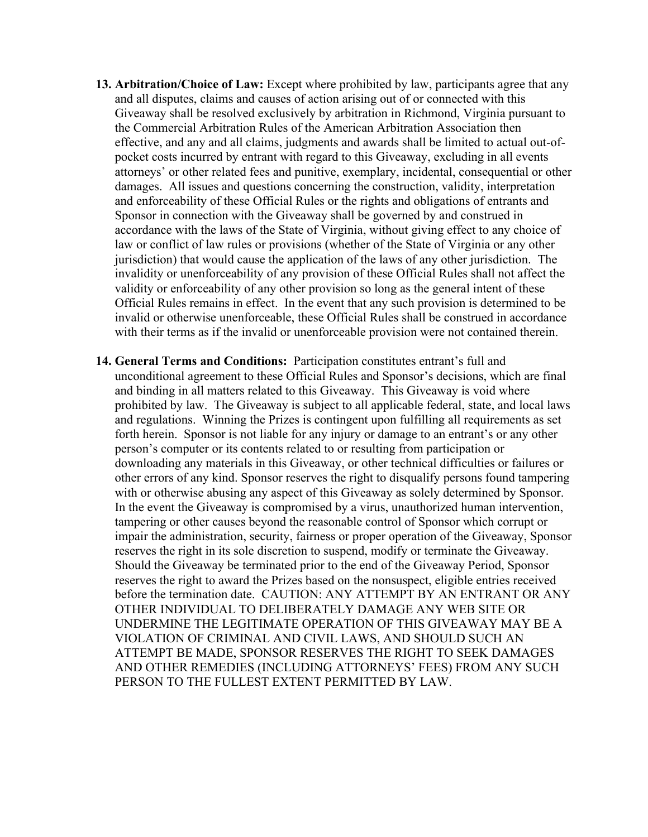- **13. Arbitration/Choice of Law:** Except where prohibited by law, participants agree that any and all disputes, claims and causes of action arising out of or connected with this Giveaway shall be resolved exclusively by arbitration in Richmond, Virginia pursuant to the Commercial Arbitration Rules of the American Arbitration Association then effective, and any and all claims, judgments and awards shall be limited to actual out-ofpocket costs incurred by entrant with regard to this Giveaway, excluding in all events attorneys' or other related fees and punitive, exemplary, incidental, consequential or other damages. All issues and questions concerning the construction, validity, interpretation and enforceability of these Official Rules or the rights and obligations of entrants and Sponsor in connection with the Giveaway shall be governed by and construed in accordance with the laws of the State of Virginia, without giving effect to any choice of law or conflict of law rules or provisions (whether of the State of Virginia or any other jurisdiction) that would cause the application of the laws of any other jurisdiction. The invalidity or unenforceability of any provision of these Official Rules shall not affect the validity or enforceability of any other provision so long as the general intent of these Official Rules remains in effect. In the event that any such provision is determined to be invalid or otherwise unenforceable, these Official Rules shall be construed in accordance with their terms as if the invalid or unenforceable provision were not contained therein.
- **14. General Terms and Conditions:** Participation constitutes entrant's full and unconditional agreement to these Official Rules and Sponsor's decisions, which are final and binding in all matters related to this Giveaway. This Giveaway is void where prohibited by law. The Giveaway is subject to all applicable federal, state, and local laws and regulations. Winning the Prizes is contingent upon fulfilling all requirements as set forth herein. Sponsor is not liable for any injury or damage to an entrant's or any other person's computer or its contents related to or resulting from participation or downloading any materials in this Giveaway, or other technical difficulties or failures or other errors of any kind. Sponsor reserves the right to disqualify persons found tampering with or otherwise abusing any aspect of this Giveaway as solely determined by Sponsor. In the event the Giveaway is compromised by a virus, unauthorized human intervention, tampering or other causes beyond the reasonable control of Sponsor which corrupt or impair the administration, security, fairness or proper operation of the Giveaway, Sponsor reserves the right in its sole discretion to suspend, modify or terminate the Giveaway. Should the Giveaway be terminated prior to the end of the Giveaway Period, Sponsor reserves the right to award the Prizes based on the nonsuspect, eligible entries received before the termination date. CAUTION: ANY ATTEMPT BY AN ENTRANT OR ANY OTHER INDIVIDUAL TO DELIBERATELY DAMAGE ANY WEB SITE OR UNDERMINE THE LEGITIMATE OPERATION OF THIS GIVEAWAY MAY BE A VIOLATION OF CRIMINAL AND CIVIL LAWS, AND SHOULD SUCH AN ATTEMPT BE MADE, SPONSOR RESERVES THE RIGHT TO SEEK DAMAGES AND OTHER REMEDIES (INCLUDING ATTORNEYS' FEES) FROM ANY SUCH PERSON TO THE FULLEST EXTENT PERMITTED BY LAW.